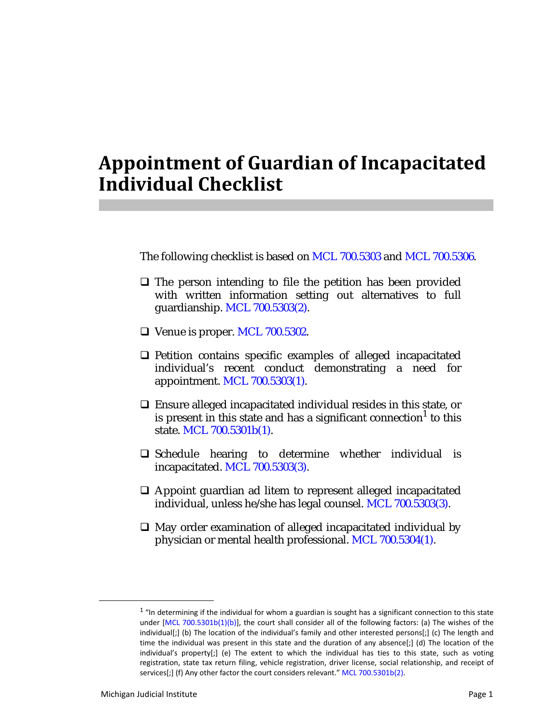## **Appointment of Guardian of Incapacitated Individual Checklist**

The following checklist is based on MCL 700.5303 and MCL 700.5306.

- $\Box$  The person intending to file the petition has been provided with written information setting out alternatives to full guardianship. MCL 700.5303(2).
- Venue is proper. MCL 700.5302.
- $\Box$  Petition contains specific examples of alleged incapacitated individual's recent conduct demonstrating a need for appointment. MCL 700.5303(1).
- $\Box$  Ensure alleged incapacitated individual resides in this state, or is present in this state and has a significant connection $^{\rm 1}$  to this state. MCL 700.5301b(1).
- $\Box$  Schedule hearing to determine whether individual is incapacitated. MCL 700.5303(3).
- Appoint guardian ad litem to represent alleged incapacitated individual, unless he/she has legal counsel. MCL 700.5303(3).
- $\Box$  May order examination of alleged incapacitated individual by physician or mental health professional. MCL 700.5304(1).

 $1$  "In determining if the individual for whom a guardian is sought has a significant connection to this state under [MCL 700.5301b(1)(b)], the court shall consider all of the following factors: (a) The wishes of the individual[;] (b) The location of the individual's family and other interested persons[;] (c) The length and time the individual was present in this state and the duration of any absence[;] (d) The location of the individual's property[;] (e) The extent to which the individual has ties to this state, such as voting registration, state tax return filing, vehicle registration, driver license, social relationship, and receipt of services[;] (f) Any other factor the court considers relevant." MCL 700.5301b(2).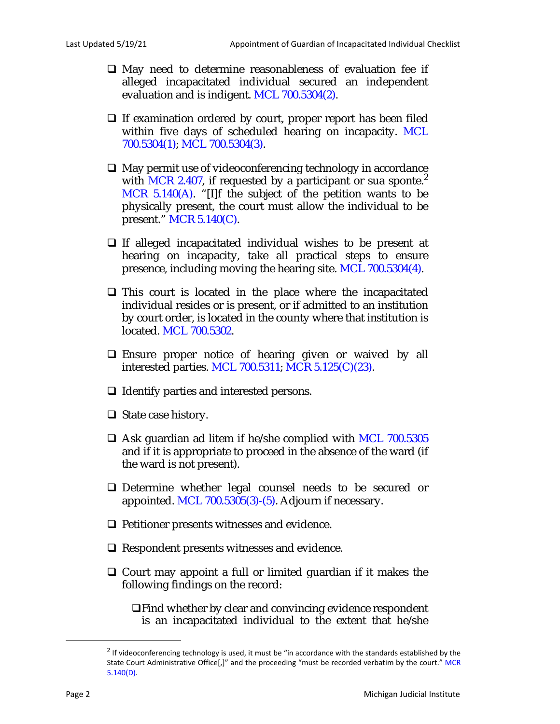- $\Box$  May need to determine reasonableness of evaluation fee if alleged incapacitated individual secured an independent evaluation and is indigent. MCL 700.5304(2).
- $\Box$  If examination ordered by court, proper report has been filed within five days of scheduled hearing on incapacity. MCL 700.5304(1); MCL 700.5304(3).
- $\Box$  May permit use of videoconferencing technology in accordance with MCR 2.407, if requested by a participant or sua sponte.<sup>2</sup> MCR 5.140(A). "[I]f the subject of the petition wants to be physically present, the court must allow the individual to be present." MCR 5.140(C).
- $\Box$  If alleged incapacitated individual wishes to be present at hearing on incapacity, take all practical steps to ensure presence, including moving the hearing site. MCL 700.5304(4).
- $\Box$  This court is located in the place where the incapacitated individual resides or is present, or if admitted to an institution by court order, is located in the county where that institution is located. MCL 700.5302.
- Ensure proper notice of hearing given or waived by all interested parties. MCL 700.5311; MCR 5.125(C)(23).
- $\Box$  Identify parties and interested persons.
- $\Box$  State case history.
- Ask guardian ad litem if he/she complied with MCL 700.5305 and if it is appropriate to proceed in the absence of the ward (if the ward is not present).
- Determine whether legal counsel needs to be secured or appointed. MCL 700.5305(3)-(5). Adjourn if necessary.
- $\Box$  Petitioner presents witnesses and evidence.
- $\Box$  Respondent presents witnesses and evidence.
- $\Box$  Court may appoint a full or limited guardian if it makes the following findings on the record:

Find whether by clear and convincing evidence respondent is an incapacitated individual to the extent that he/she

<sup>&</sup>lt;sup>2</sup> If videoconferencing technology is used, it must be "in accordance with the standards established by the State Court Administrative Office[,]" and the proceeding "must be recorded verbatim by the court." MCR 5.140(D).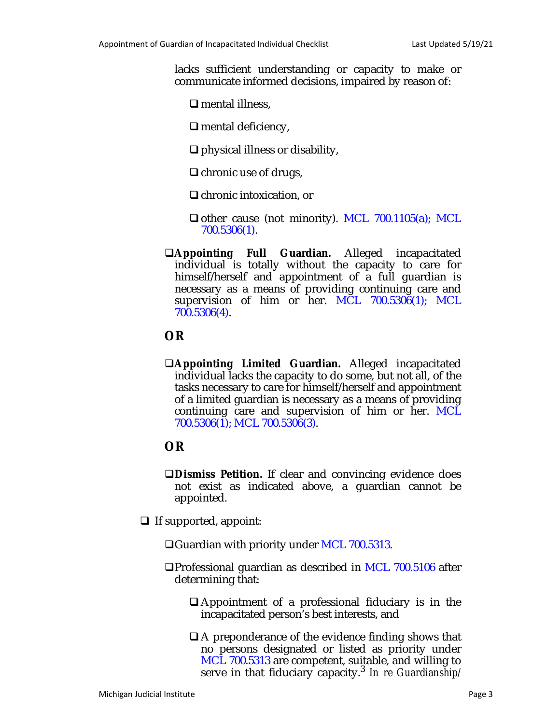lacks sufficient understanding or capacity to make or communicate informed decisions, impaired by reason of:

 $\Box$  mental illness.

 $\Box$  mental deficiency,

 $\Box$  physical illness or disability,

 $\Box$  chronic use of drugs,

**□** chronic intoxication, or

- $\Box$  other cause (not minority). MCL 700.1105(a); MCL 700.5306(1).
- **Appointing Full Guardian.** Alleged incapacitated individual is totally without the capacity to care for himself/herself and appointment of a full guardian is necessary as a means of providing continuing care and supervision of him or her. MCL 700.5306(1); MCL 700.5306(4).

## **OR**

**Appointing Limited Guardian.** Alleged incapacitated individual lacks the capacity to do some, but not all, of the tasks necessary to care for himself/herself and appointment of a limited guardian is necessary as a means of providing continuing care and supervision of him or her. MCL 700.5306(1); MCL 700.5306(3).

## **OR**

- **Dismiss Petition.** If clear and convincing evidence does not exist as indicated above, a guardian cannot be appointed.
- $\Box$  If supported, appoint:

Guardian with priority under MCL 700.5313.

- Professional guardian as described in MCL 700.5106 after determining that:
	- $\Box$  Appointment of a professional fiduciary is in the incapacitated person's best interests, and
	- A preponderance of the evidence finding shows that no persons designated or listed as priority under MCL 700.5313 are competent, suitable, and willing to serve in that fiduciary capacity.3 *In re Guardianship/*